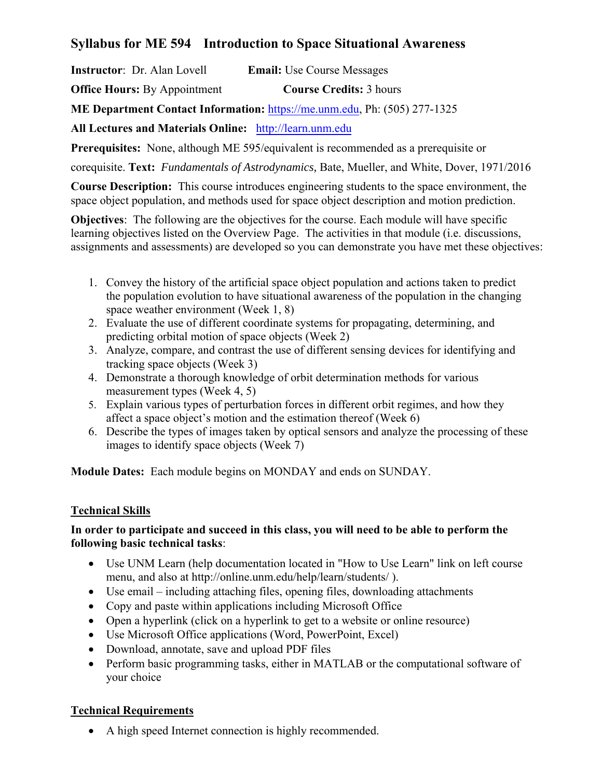# **Syllabus for ME 594 Introduction to Space Situational Awareness**

**Instructor**: Dr. Alan Lovell **Email:** Use Course Messages

**Office Hours:** By Appointment **Course Credits:** 3 hours

**ME Department Contact Information:** https://me.unm.edu, Ph: (505) 277-1325

**All Lectures and Materials Online:** http://learn.unm.edu

**Prerequisites:** None, although ME 595/equivalent is recommended as a prerequisite or

corequisite. **Text:** *Fundamentals of Astrodynamics,* Bate, Mueller, and White, Dover, 1971/2016

**Course Description:** This course introduces engineering students to the space environment, the space object population, and methods used for space object description and motion prediction.

**Objectives:** The following are the objectives for the course. Each module will have specific learning objectives listed on the Overview Page. The activities in that module (i.e. discussions, assignments and assessments) are developed so you can demonstrate you have met these objectives:

- 1. Convey the history of the artificial space object population and actions taken to predict the population evolution to have situational awareness of the population in the changing space weather environment (Week 1, 8)
- 2. Evaluate the use of different coordinate systems for propagating, determining, and predicting orbital motion of space objects (Week 2)
- 3. Analyze, compare, and contrast the use of different sensing devices for identifying and tracking space objects (Week 3)
- 4. Demonstrate a thorough knowledge of orbit determination methods for various measurement types (Week 4, 5)
- 5. Explain various types of perturbation forces in different orbit regimes, and how they affect a space object's motion and the estimation thereof (Week 6)
- 6. Describe the types of images taken by optical sensors and analyze the processing of these images to identify space objects (Week 7)

**Module Dates:** Each module begins on MONDAY and ends on SUNDAY.

## **Technical Skills**

### **In order to participate and succeed in this class, you will need to be able to perform the following basic technical tasks**:

- Use UNM Learn (help documentation located in "How to Use Learn" link on left course menu, and also at http://online.unm.edu/help/learn/students/ ).
- Use email including attaching files, opening files, downloading attachments
- Copy and paste within applications including Microsoft Office
- Open a hyperlink (click on a hyperlink to get to a website or online resource)
- Use Microsoft Office applications (Word, PowerPoint, Excel)
- Download, annotate, save and upload PDF files
- Perform basic programming tasks, either in MATLAB or the computational software of your choice

# **Technical Requirements**

A high speed Internet connection is highly recommended.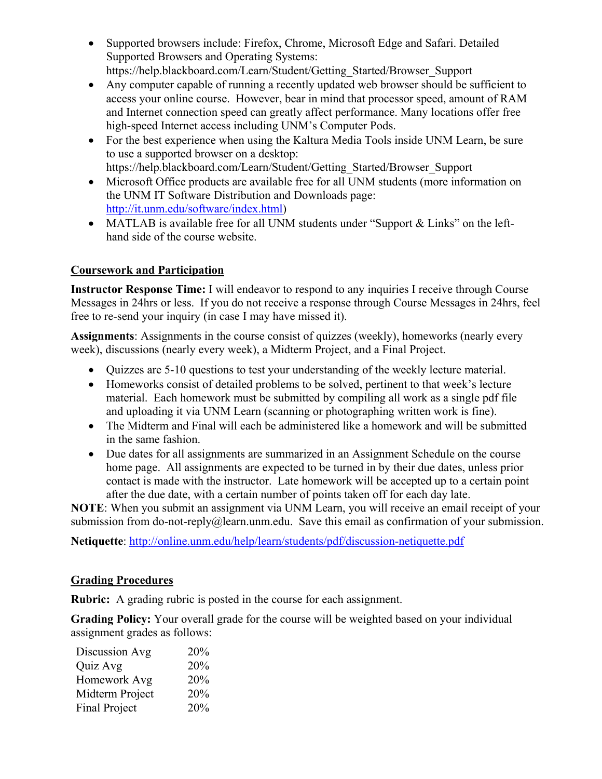- Supported browsers include: Firefox, Chrome, Microsoft Edge and Safari. Detailed Supported Browsers and Operating Systems: https://help.blackboard.com/Learn/Student/Getting\_Started/Browser\_Support
- Any computer capable of running a recently updated web browser should be sufficient to access your online course. However, bear in mind that processor speed, amount of RAM and Internet connection speed can greatly affect performance. Many locations offer free high-speed Internet access including UNM's Computer Pods.
- For the best experience when using the Kaltura Media Tools inside UNM Learn, be sure to use a supported browser on a desktop: https://help.blackboard.com/Learn/Student/Getting\_Started/Browser\_Support
- Microsoft Office products are available free for all UNM students (more information on the UNM IT Software Distribution and Downloads page: http://it.unm.edu/software/index.html)
- MATLAB is available free for all UNM students under "Support & Links" on the lefthand side of the course website.

## **Coursework and Participation**

**Instructor Response Time:** I will endeavor to respond to any inquiries I receive through Course Messages in 24hrs or less. If you do not receive a response through Course Messages in 24hrs, feel free to re-send your inquiry (in case I may have missed it).

**Assignments**: Assignments in the course consist of quizzes (weekly), homeworks (nearly every week), discussions (nearly every week), a Midterm Project, and a Final Project.

- Quizzes are 5-10 questions to test your understanding of the weekly lecture material.
- Homeworks consist of detailed problems to be solved, pertinent to that week's lecture material. Each homework must be submitted by compiling all work as a single pdf file and uploading it via UNM Learn (scanning or photographing written work is fine).
- The Midterm and Final will each be administered like a homework and will be submitted in the same fashion.
- Due dates for all assignments are summarized in an Assignment Schedule on the course home page. All assignments are expected to be turned in by their due dates, unless prior contact is made with the instructor. Late homework will be accepted up to a certain point after the due date, with a certain number of points taken off for each day late.

**NOTE**: When you submit an assignment via UNM Learn, you will receive an email receipt of your submission from do-not-reply@learn.unm.edu. Save this email as confirmation of your submission.

**Netiquette**: http://online.unm.edu/help/learn/students/pdf/discussion-netiquette.pdf

## **Grading Procedures**

**Rubric:** A grading rubric is posted in the course for each assignment.

**Grading Policy:** Your overall grade for the course will be weighted based on your individual assignment grades as follows:

| Discussion Avg       | 20% |
|----------------------|-----|
| Quiz Avg             | 20% |
| Homework Avg         | 20% |
| Midterm Project      | 20% |
| <b>Final Project</b> | 20% |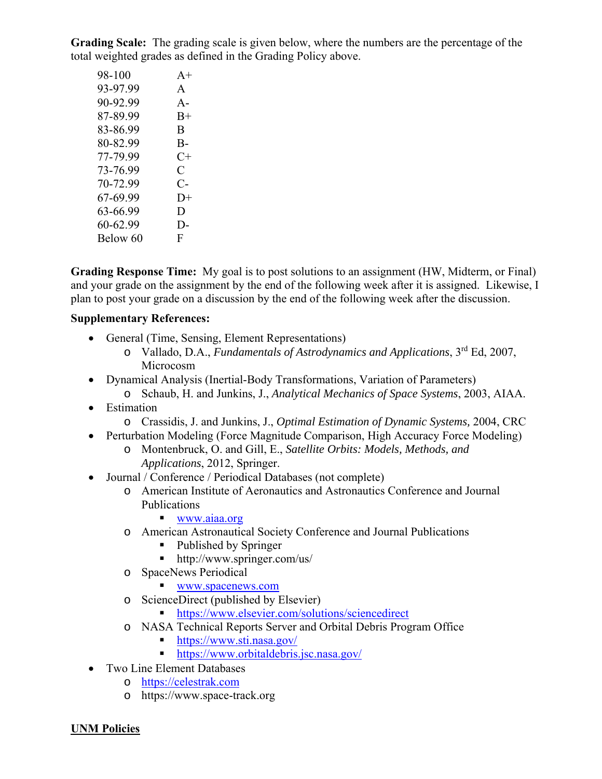**Grading Scale:** The grading scale is given below, where the numbers are the percentage of the total weighted grades as defined in the Grading Policy above.

| 98-100   | $A+$                 |
|----------|----------------------|
| 93-97.99 | $\mathsf{A}$         |
| 90-92.99 | $A -$                |
| 87-89.99 | $B+$                 |
| 83-86.99 | B                    |
| 80-82.99 | В-                   |
| 77-79.99 | $C+$                 |
| 73-76.99 | $\subset$            |
| 70-72.99 | $\mathsf{C}\text{-}$ |
| 67-69.99 | $1) +$               |
| 63-66.99 | D                    |
| 60-62.99 | D-                   |
| Below 60 | F                    |

**Grading Response Time:** My goal is to post solutions to an assignment (HW, Midterm, or Final) and your grade on the assignment by the end of the following week after it is assigned. Likewise, I plan to post your grade on a discussion by the end of the following week after the discussion.

#### **Supplementary References:**

- General (Time, Sensing, Element Representations)
	- o Vallado, D.A., *Fundamentals of Astrodynamics and Applications*, 3rd Ed, 2007, Microcosm
- Dynamical Analysis (Inertial-Body Transformations, Variation of Parameters)
	- o Schaub, H. and Junkins, J., *Analytical Mechanics of Space Systems*, 2003, AIAA.
- Estimation
	- o Crassidis, J. and Junkins, J., *Optimal Estimation of Dynamic Systems,* 2004, CRC
- Perturbation Modeling (Force Magnitude Comparison, High Accuracy Force Modeling)
	- o Montenbruck, O. and Gill, E., *Satellite Orbits: Models, Methods, and Applications*, 2012, Springer.
- Journal / Conference / Periodical Databases (not complete)
	- o American Institute of Aeronautics and Astronautics Conference and Journal Publications

#### ■ www.aiaa.org

- o American Astronautical Society Conference and Journal Publications
	- Published by Springer
	- http://www.springer.com/us/
- o SpaceNews Periodical
	- www.spacenews.com
- o ScienceDirect (published by Elsevier)
	- https://www.elsevier.com/solutions/sciencedirect
- o NASA Technical Reports Server and Orbital Debris Program Office
	- https://www.sti.nasa.gov/
	- https://www.orbitaldebris.jsc.nasa.gov/
- Two Line Element Databases
	- o https://celestrak.com
	- o https://www.space-track.org

**UNM Policies**